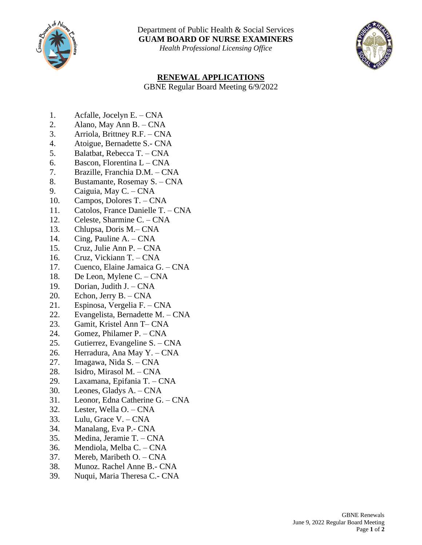

Department of Public Health & Social Services **GUAM BOARD OF NURSE EXAMINERS**

*Health Professional Licensing Office*



## **RENEWAL APPLICATIONS**

GBNE Regular Board Meeting 6/9/2022

- 1. Acfalle, Jocelyn E. CNA
- 2. Alano, May Ann B. CNA
- 3. Arriola, Brittney R.F. CNA
- 4. Atoigue, Bernadette S.- CNA
- 5. Balatbat, Rebecca T. CNA
- 6. Bascon, Florentina L CNA
- 7. Brazille, Franchia D.M. CNA
- 8. Bustamante, Rosemay S. CNA
- 9. Caiguia, May C. CNA
- 10. Campos, Dolores T. CNA
- 11. Catolos, France Danielle T. CNA
- 12. Celeste, Sharmine C. CNA
- 13. Chlupsa, Doris M.– CNA
- 14. Cing, Pauline A. CNA
- 15. Cruz, Julie Ann P. CNA
- 16. Cruz, Vickiann T. CNA
- 17. Cuenco, Elaine Jamaica G. CNA
- 18. De Leon, Mylene C. CNA
- 19. Dorian, Judith J. CNA
- 20. Echon, Jerry B. CNA
- 21. Espinosa, Vergelia F. CNA
- 22. Evangelista, Bernadette M. CNA
- 23. Gamit, Kristel Ann T– CNA
- 24. Gomez, Philamer P. CNA
- 25. Gutierrez, Evangeline S. CNA
- 26. Herradura, Ana May Y. CNA
- 27. Imagawa, Nida S. CNA
- 28. Isidro, Mirasol M. CNA
- 29. Laxamana, Epifania T. CNA
- 30. Leones, Gladys A. CNA
- 31. Leonor, Edna Catherine G. CNA
- 32. Lester, Wella O. CNA
- 33. Lulu, Grace V. CNA
- 34. Manalang, Eva P.- CNA
- 35. Medina, Jeramie T. CNA
- 36. Mendiola, Melba C. CNA
- 37. Mereb, Maribeth O. CNA
- 38. Munoz. Rachel Anne B.- CNA
- 39. Nuqui, Maria Theresa C.- CNA